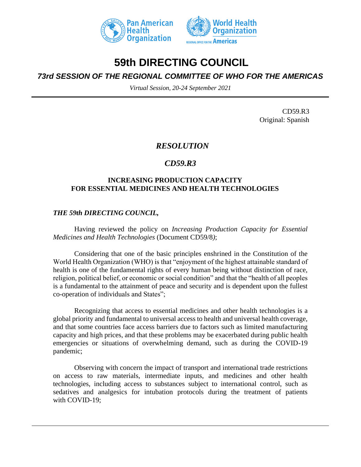



# **59th DIRECTING COUNCIL**

## *73rd SESSION OF THE REGIONAL COMMITTEE OF WHO FOR THE AMERICAS*

*Virtual Session, 20-24 September 2021*

CD59.R3 Original: Spanish

## *RESOLUTION*

## *CD59.R3*

#### **INCREASING PRODUCTION CAPACITY FOR ESSENTIAL MEDICINES AND HEALTH TECHNOLOGIES**

#### *THE 59th DIRECTING COUNCIL,*

Having reviewed the policy on *Increasing Production Capacity for Essential Medicines and Health Technologies* (Document CD59/8*)*;

Considering that one of the basic principles enshrined in the Constitution of the World Health Organization (WHO) is that "enjoyment of the highest attainable standard of health is one of the fundamental rights of every human being without distinction of race, religion, political belief, or economic or social condition" and that the "health of all peoples is a fundamental to the attainment of peace and security and is dependent upon the fullest co-operation of individuals and States";

Recognizing that access to essential medicines and other health technologies is a global priority and fundamental to universal access to health and universal health coverage, and that some countries face access barriers due to factors such as limited manufacturing capacity and high prices, and that these problems may be exacerbated during public health emergencies or situations of overwhelming demand, such as during the COVID-19 pandemic;

Observing with concern the impact of transport and international trade restrictions on access to raw materials, intermediate inputs, and medicines and other health technologies, including access to substances subject to international control, such as sedatives and analgesics for intubation protocols during the treatment of patients with COVID-19;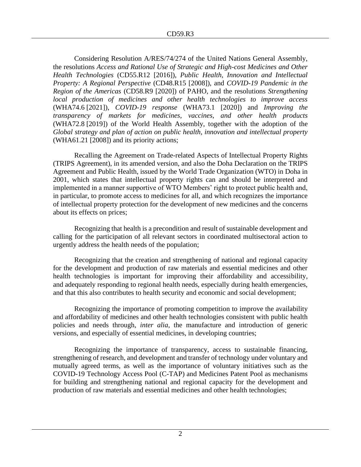Considering Resolution A/RES/74/274 of the United Nations General Assembly, the resolutions *Access and Rational Use of Strategic and High-cost Medicines and Other Health Technologies* (CD55.R12 [2016]), *Public Health, Innovation and Intellectual Property: A Regional Perspective* (CD48.R15 [2008]), and *COVID-19 Pandemic in the Region of the Americas* (CD58.R9 [2020]) of PAHO, and the resolutions *Strengthening local production of medicines and other health technologies to improve access*  (WHA74.6 [2021]), *COVID-19 response* (WHA73.1 [2020]) and *Improving the transparency of markets for medicines, vaccines, and other health products* (WHA72.8 [2019]) of the World Health Assembly, together with the adoption of the *Global strategy and plan of action on public health, innovation and intellectual property* (WHA61.21 [2008]) and its priority actions;

Recalling the Agreement on Trade-related Aspects of Intellectual Property Rights (TRIPS Agreement), in its amended version, and also the Doha Declaration on the TRIPS Agreement and Public Health, issued by the World Trade Organization (WTO) in Doha in 2001, which states that intellectual property rights can and should be interpreted and implemented in a manner supportive of WTO Members' right to protect public health and, in particular, to promote access to medicines for all, and which recognizes the importance of intellectual property protection for the development of new medicines and the concerns about its effects on prices;

Recognizing that health is a precondition and result of sustainable development and calling for the participation of all relevant sectors in coordinated multisectoral action to urgently address the health needs of the population;

Recognizing that the creation and strengthening of national and regional capacity for the development and production of raw materials and essential medicines and other health technologies is important for improving their affordability and accessibility, and adequately responding to regional health needs, especially during health emergencies, and that this also contributes to health security and economic and social development;

Recognizing the importance of promoting competition to improve the availability and affordability of medicines and other health technologies consistent with public health policies and needs through, *inter alia*, the manufacture and introduction of generic versions, and especially of essential medicines, in developing countries;

Recognizing the importance of transparency, access to sustainable financing, strengthening of research, and development and transfer of technology under voluntary and mutually agreed terms, as well as the importance of voluntary initiatives such as the COVID-19 Technology Access Pool (C-TAP) and Medicines Patent Pool as mechanisms for building and strengthening national and regional capacity for the development and production of raw materials and essential medicines and other health technologies;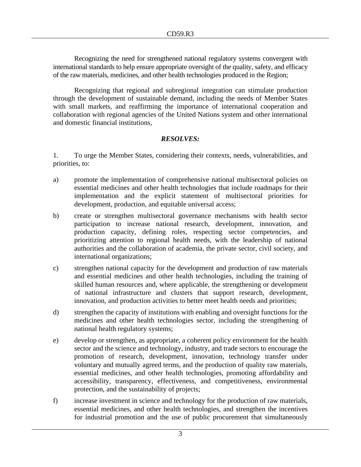Recognizing the need for strengthened national regulatory systems convergent with international standards to help ensure appropriate oversight of the quality, safety, and efficacy of the raw materials, medicines, and other health technologies produced in the Region;

Recognizing that regional and subregional integration can stimulate production through the development of sustainable demand, including the needs of Member States with small markets, and reaffirming the importance of international cooperation and collaboration with regional agencies of the United Nations system and other international and domestic financial institutions,

## *RESOLVES:*

1. To urge the Member States, considering their contexts, needs, vulnerabilities, and priorities, to:

- a) promote the implementation of comprehensive national multisectoral policies on essential medicines and other health technologies that include roadmaps for their implementation and the explicit statement of multisectoral priorities for development, production, and equitable universal access;
- b) create or strengthen multisectoral governance mechanisms with health sector participation to increase national research, development, innovation, and production capacity, defining roles, respecting sector competencies, and prioritizing attention to regional health needs, with the leadership of national authorities and the collaboration of academia, the private sector, civil society, and international organizations;
- c) strengthen national capacity for the development and production of raw materials and essential medicines and other health technologies, including the training of skilled human resources and, where applicable, the strengthening or development of national infrastructure and clusters that support research, development, innovation, and production activities to better meet health needs and priorities;
- d) strengthen the capacity of institutions with enabling and oversight functions for the medicines and other health technologies sector, including the strengthening of national health regulatory systems;
- e) develop or strengthen, as appropriate, a coherent policy environment for the health sector and the science and technology, industry, and trade sectors to encourage the promotion of research, development, innovation, technology transfer under voluntary and mutually agreed terms, and the production of quality raw materials, essential medicines, and other health technologies, promoting affordability and accessibility, transparency, effectiveness, and competitiveness, environmental protection, and the sustainability of projects;
- f) increase investment in science and technology for the production of raw materials, essential medicines, and other health technologies, and strengthen the incentives for industrial promotion and the use of public procurement that simultaneously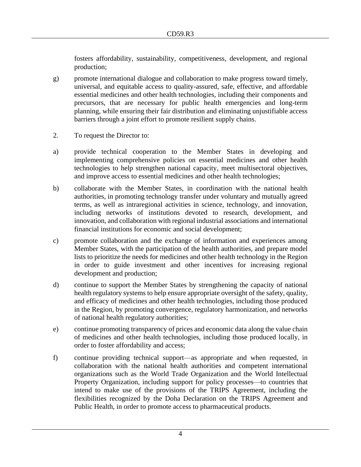fosters affordability, sustainability, competitiveness, development, and regional production;

- g) promote international dialogue and collaboration to make progress toward timely, universal, and equitable access to quality-assured, safe, effective, and affordable essential medicines and other health technologies, including their components and precursors, that are necessary for public health emergencies and long-term planning, while ensuring their fair distribution and eliminating unjustifiable access barriers through a joint effort to promote resilient supply chains.
- 2. To request the Director to:
- a) provide technical cooperation to the Member States in developing and implementing comprehensive policies on essential medicines and other health technologies to help strengthen national capacity, meet multisectoral objectives, and improve access to essential medicines and other health technologies;
- b) collaborate with the Member States, in coordination with the national health authorities, in promoting technology transfer under voluntary and mutually agreed terms, as well as intraregional activities in science, technology, and innovation, including networks of institutions devoted to research, development, and innovation, and collaboration with regional industrial associations and international financial institutions for economic and social development;
- c) promote collaboration and the exchange of information and experiences among Member States, with the participation of the health authorities, and prepare model lists to prioritize the needs for medicines and other health technology in the Region in order to guide investment and other incentives for increasing regional development and production;
- d) continue to support the Member States by strengthening the capacity of national health regulatory systems to help ensure appropriate oversight of the safety, quality, and efficacy of medicines and other health technologies, including those produced in the Region, by promoting convergence, regulatory harmonization, and networks of national health regulatory authorities;
- e) continue promoting transparency of prices and economic data along the value chain of medicines and other health technologies, including those produced locally, in order to foster affordability and access;
- f) continue providing technical support––as appropriate and when requested, in collaboration with the national health authorities and competent international organizations such as the World Trade Organization and the World Intellectual Property Organization, including support for policy processes––to countries that intend to make use of the provisions of the TRIPS Agreement, including the flexibilities recognized by the Doha Declaration on the TRIPS Agreement and Public Health, in order to promote access to pharmaceutical products.